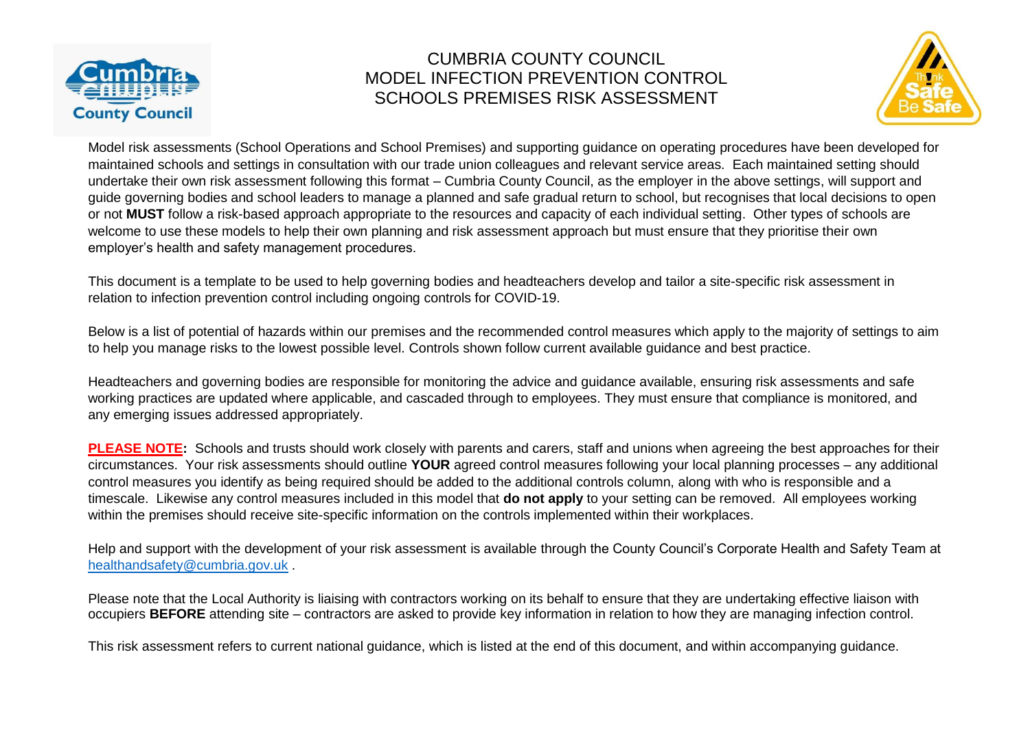



Model risk assessments (School Operations and School Premises) and supporting guidance on operating procedures have been developed for maintained schools and settings in consultation with our trade union colleagues and relevant service areas. Each maintained setting should undertake their own risk assessment following this format – Cumbria County Council, as the employer in the above settings, will support and guide governing bodies and school leaders to manage a planned and safe gradual return to school, but recognises that local decisions to open or not **MUST** follow a risk-based approach appropriate to the resources and capacity of each individual setting. Other types of schools are welcome to use these models to help their own planning and risk assessment approach but must ensure that they prioritise their own employer's health and safety management procedures.

This document is a template to be used to help governing bodies and headteachers develop and tailor a site-specific risk assessment in relation to infection prevention control including ongoing controls for COVID-19.

Below is a list of potential of hazards within our premises and the recommended control measures which apply to the majority of settings to aim to help you manage risks to the lowest possible level. Controls shown follow current available guidance and best practice.

Headteachers and governing bodies are responsible for monitoring the advice and guidance available, ensuring risk assessments and safe working practices are updated where applicable, and cascaded through to employees. They must ensure that compliance is monitored, and any emerging issues addressed appropriately.

**PLEASE NOTE:** Schools and trusts should work closely with parents and carers, staff and unions when agreeing the best approaches for their circumstances. Your risk assessments should outline **YOUR** agreed control measures following your local planning processes – any additional control measures you identify as being required should be added to the additional controls column, along with who is responsible and a timescale. Likewise any control measures included in this model that **do not apply** to your setting can be removed. All employees working within the premises should receive site-specific information on the controls implemented within their workplaces.

Help and support with the development of your risk assessment is available through the County Council's Corporate Health and Safety Team at [healthandsafety@cumbria.gov.uk](mailto:healthandsafety@cumbria.gov.uk) .

Please note that the Local Authority is liaising with contractors working on its behalf to ensure that they are undertaking effective liaison with occupiers **BEFORE** attending site – contractors are asked to provide key information in relation to how they are managing infection control.

This risk assessment refers to current national guidance, which is listed at the end of this document, and within accompanying guidance.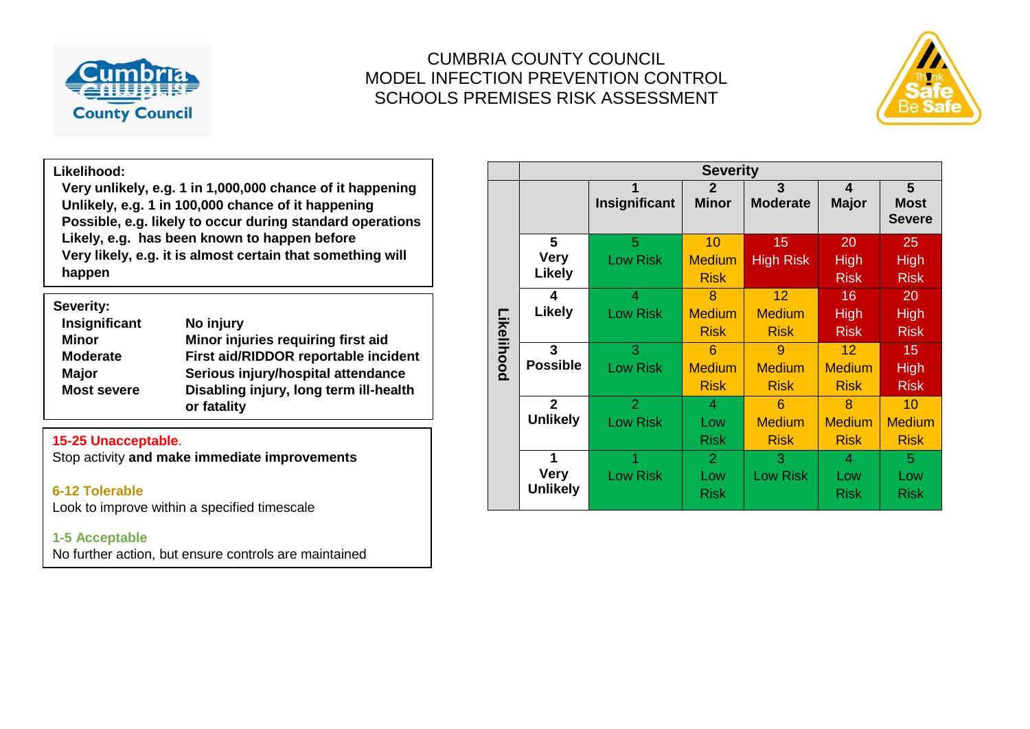



#### **Likelihood:**

**Very unlikely, e.g. 1 in 1,000,000 chance of it happening Unlikely, e.g. 1 in 100,000 chance of it happening Possible, e.g. likely to occur during standard operations Likely, e.g. has been known to happen before Very likely, e.g. it is almost certain that something will happen**

| Severity:          |                                                       |
|--------------------|-------------------------------------------------------|
| Insignificant      | No injury                                             |
| <b>Minor</b>       | Minor injuries requiring first aid                    |
| <b>Moderate</b>    | First aid/RIDDOR reportable incident                  |
| <b>Major</b>       | Serious injury/hospital attendance                    |
| <b>Most severe</b> | Disabling injury, long term ill-health<br>or fatality |

#### **15-25 Unacceptable**.

Stop activity **and make immediate improvements**

#### **6-12 Tolerable**

Look to improve within a specified timescale

#### **1-5 Acceptable**

No further action, but ensure controls are maintained

|            | <b>Severity</b>         |                 |                |                  |               |                              |  |  |  |
|------------|-------------------------|-----------------|----------------|------------------|---------------|------------------------------|--|--|--|
|            |                         | 1               | $\mathbf{2}$   | 3                | 4             | 5                            |  |  |  |
|            |                         | Insignificant   | <b>Minor</b>   | <b>Moderate</b>  | <b>Major</b>  | <b>Most</b><br><b>Severe</b> |  |  |  |
|            |                         |                 |                |                  |               |                              |  |  |  |
|            | 5                       | 5               | 10             | 15               | 20            | 25                           |  |  |  |
|            | <b>Very</b>             | <b>Low Risk</b> | <b>Medium</b>  | <b>High Risk</b> | <b>High</b>   | <b>High</b>                  |  |  |  |
|            | <b>Likely</b>           |                 | <b>Risk</b>    |                  | <b>Risk</b>   | <b>Risk</b>                  |  |  |  |
|            | 4                       | $\overline{4}$  | 8              | 12               | 16            | 20                           |  |  |  |
|            | <b>Likely</b>           | <b>Low Risk</b> | <b>Medium</b>  | <b>Medium</b>    | High          | <b>High</b>                  |  |  |  |
| Likelihood |                         |                 | <b>Risk</b>    | <b>Risk</b>      | <b>Risk</b>   | <b>Risk</b>                  |  |  |  |
|            | $\overline{\mathbf{3}}$ | 3               | 6              | 9                | 12            | 15                           |  |  |  |
|            | <b>Possible</b>         | <b>Low Risk</b> | <b>Medium</b>  | <b>Medium</b>    | <b>Medium</b> | <b>High</b>                  |  |  |  |
|            |                         |                 | <b>Risk</b>    | <b>Risk</b>      | <b>Risk</b>   | <b>Risk</b>                  |  |  |  |
|            | $\overline{2}$          | $\overline{2}$  | 4              | 6                | 8             | 10                           |  |  |  |
|            | <b>Unlikely</b>         | <b>Low Risk</b> | Low            | <b>Medium</b>    | <b>Medium</b> | <b>Medium</b>                |  |  |  |
|            |                         |                 | <b>Risk</b>    | <b>Risk</b>      | <b>Risk</b>   | <b>Risk</b>                  |  |  |  |
|            | 1                       |                 | $\overline{2}$ | 3                | 4             | 5                            |  |  |  |
|            | <b>Very</b>             | <b>Low Risk</b> | Low            | <b>Low Risk</b>  | Low           | Low                          |  |  |  |
|            | <b>Unlikely</b>         |                 | <b>Risk</b>    |                  | <b>Risk</b>   | <b>Risk</b>                  |  |  |  |
|            |                         |                 |                |                  |               |                              |  |  |  |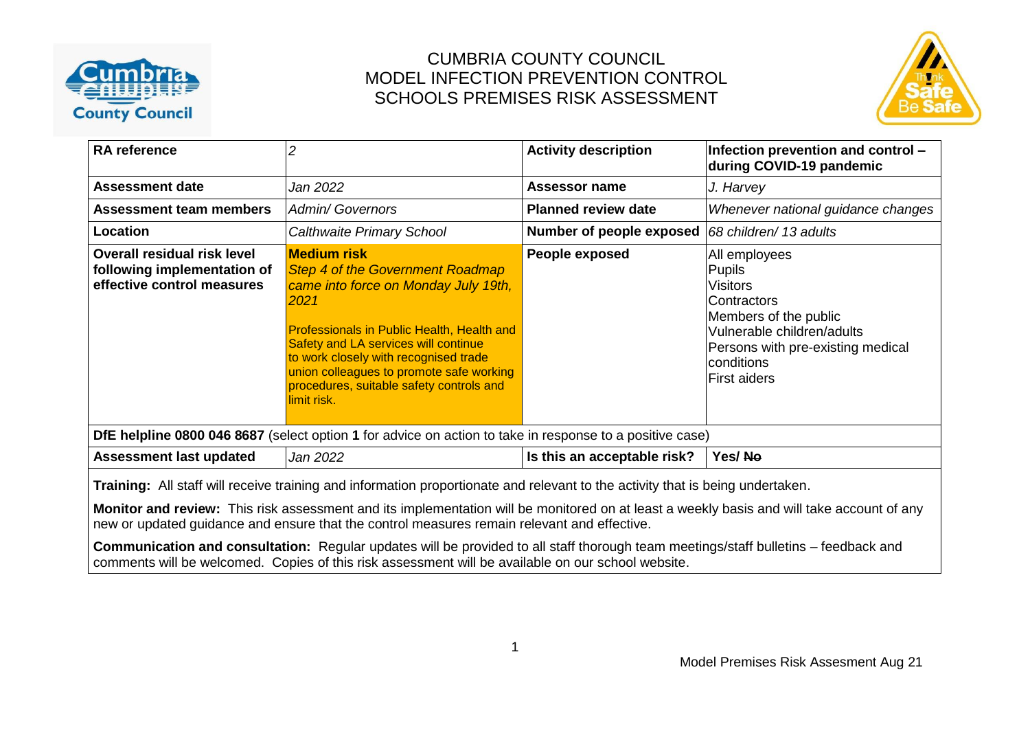



| <b>RA</b> reference                                                                                                                                                                                                                                                         | 2                                                                                                                                                                                                                                                                                                                                                    | <b>Activity description</b> | Infection prevention and control -<br>during COVID-19 pandemic                                                                                                                                    |  |  |  |  |
|-----------------------------------------------------------------------------------------------------------------------------------------------------------------------------------------------------------------------------------------------------------------------------|------------------------------------------------------------------------------------------------------------------------------------------------------------------------------------------------------------------------------------------------------------------------------------------------------------------------------------------------------|-----------------------------|---------------------------------------------------------------------------------------------------------------------------------------------------------------------------------------------------|--|--|--|--|
| <b>Assessment date</b>                                                                                                                                                                                                                                                      | Jan 2022                                                                                                                                                                                                                                                                                                                                             | <b>Assessor name</b>        | J. Harvey                                                                                                                                                                                         |  |  |  |  |
| <b>Assessment team members</b>                                                                                                                                                                                                                                              | <b>Admin/ Governors</b>                                                                                                                                                                                                                                                                                                                              | <b>Planned review date</b>  | Whenever national guidance changes                                                                                                                                                                |  |  |  |  |
| Location                                                                                                                                                                                                                                                                    | Calthwaite Primary School                                                                                                                                                                                                                                                                                                                            | Number of people exposed    | 68 children/13 adults                                                                                                                                                                             |  |  |  |  |
| <b>Overall residual risk level</b><br>following implementation of<br>effective control measures                                                                                                                                                                             | <b>Medium risk</b><br><b>Step 4 of the Government Roadmap</b><br>came into force on Monday July 19th,<br>2021<br>Professionals in Public Health, Health and<br>Safety and LA services will continue<br>to work closely with recognised trade<br>union colleagues to promote safe working<br>procedures, suitable safety controls and<br>llimit risk. | People exposed              | All employees<br><b>Pupils</b><br><b>Visitors</b><br>Contractors<br>Members of the public<br>Vulnerable children/adults<br>Persons with pre-existing medical<br>conditions<br><b>First aiders</b> |  |  |  |  |
| DfE helpline 0800 046 8687 (select option 1 for advice on action to take in response to a positive case)                                                                                                                                                                    |                                                                                                                                                                                                                                                                                                                                                      |                             |                                                                                                                                                                                                   |  |  |  |  |
| <b>Assessment last updated</b>                                                                                                                                                                                                                                              | Jan 2022                                                                                                                                                                                                                                                                                                                                             | Is this an acceptable risk? | Yes/No                                                                                                                                                                                            |  |  |  |  |
| Training: All staff will receive training and information proportionate and relevant to the activity that is being undertaken.<br>Monitor and review: This risk assessment and its implementation will be monitored on at least a weekly basis and will take account of any |                                                                                                                                                                                                                                                                                                                                                      |                             |                                                                                                                                                                                                   |  |  |  |  |
| new or updated guidance and ensure that the control measures remain relevant and effective.                                                                                                                                                                                 |                                                                                                                                                                                                                                                                                                                                                      |                             |                                                                                                                                                                                                   |  |  |  |  |

**Communication and consultation:** Regular updates will be provided to all staff thorough team meetings/staff bulletins – feedback and comments will be welcomed. Copies of this risk assessment will be available on our school website.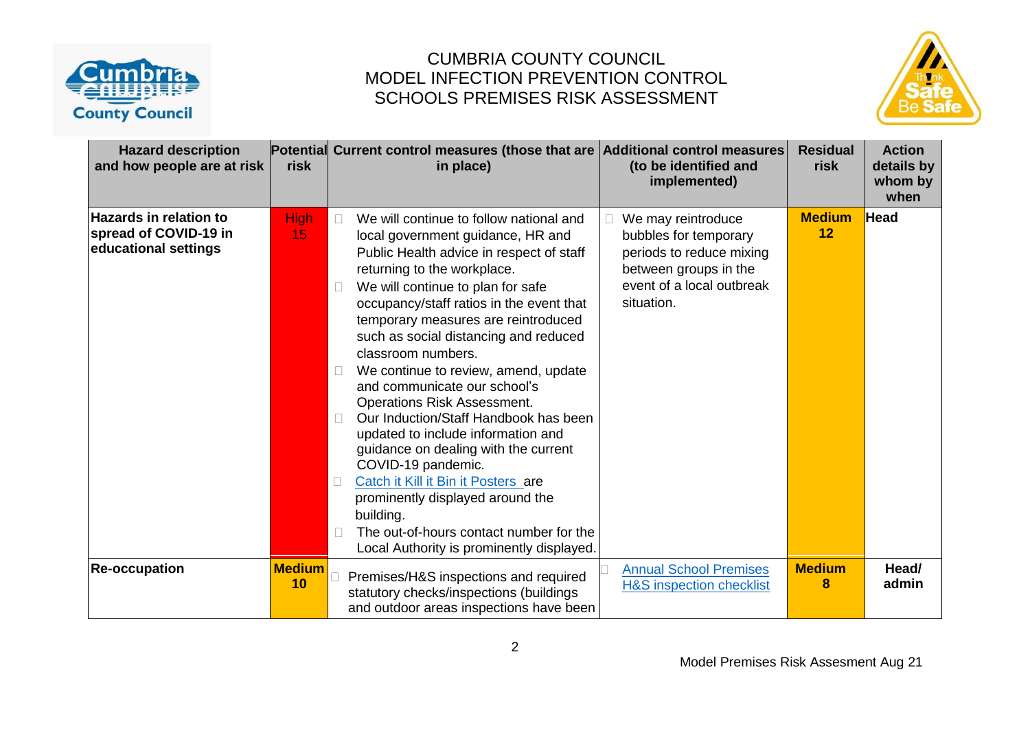



| <b>Hazard description</b><br>and how people are at risk                        | risk                | Potential Current control measures (those that are Additional control measures<br>in place)                                                                                                                                                                                                                                                                                                                                                                                                                                                                                                                                                                                                                                                                                                                                   | (to be identified and<br>implemented)                                                                                                       | <b>Residual</b><br>risk | <b>Action</b><br>details by<br>whom by<br>when |
|--------------------------------------------------------------------------------|---------------------|-------------------------------------------------------------------------------------------------------------------------------------------------------------------------------------------------------------------------------------------------------------------------------------------------------------------------------------------------------------------------------------------------------------------------------------------------------------------------------------------------------------------------------------------------------------------------------------------------------------------------------------------------------------------------------------------------------------------------------------------------------------------------------------------------------------------------------|---------------------------------------------------------------------------------------------------------------------------------------------|-------------------------|------------------------------------------------|
| <b>Hazards in relation to</b><br>spread of COVID-19 in<br>educational settings | <b>High</b><br>15   | We will continue to follow national and<br>$\Box$<br>local government guidance, HR and<br>Public Health advice in respect of staff<br>returning to the workplace.<br>We will continue to plan for safe<br>occupancy/staff ratios in the event that<br>temporary measures are reintroduced<br>such as social distancing and reduced<br>classroom numbers.<br>We continue to review, amend, update<br>and communicate our school's<br><b>Operations Risk Assessment.</b><br>Our Induction/Staff Handbook has been<br>$\Box$<br>updated to include information and<br>guidance on dealing with the current<br>COVID-19 pandemic.<br>Catch it Kill it Bin it Posters are<br>П.<br>prominently displayed around the<br>building.<br>The out-of-hours contact number for the<br>$\Box$<br>Local Authority is prominently displayed. | We may reintroduce<br>bubbles for temporary<br>periods to reduce mixing<br>between groups in the<br>event of a local outbreak<br>situation. | <b>Medium</b><br>12     | <b>Head</b>                                    |
| <b>Re-occupation</b>                                                           | <b>Medium</b><br>10 | Premises/H&S inspections and required<br>statutory checks/inspections (buildings<br>and outdoor areas inspections have been                                                                                                                                                                                                                                                                                                                                                                                                                                                                                                                                                                                                                                                                                                   | <b>Annual School Premises</b><br><b>H&amp;S inspection checklist</b>                                                                        | <b>Medium</b><br>8      | Head/<br>admin                                 |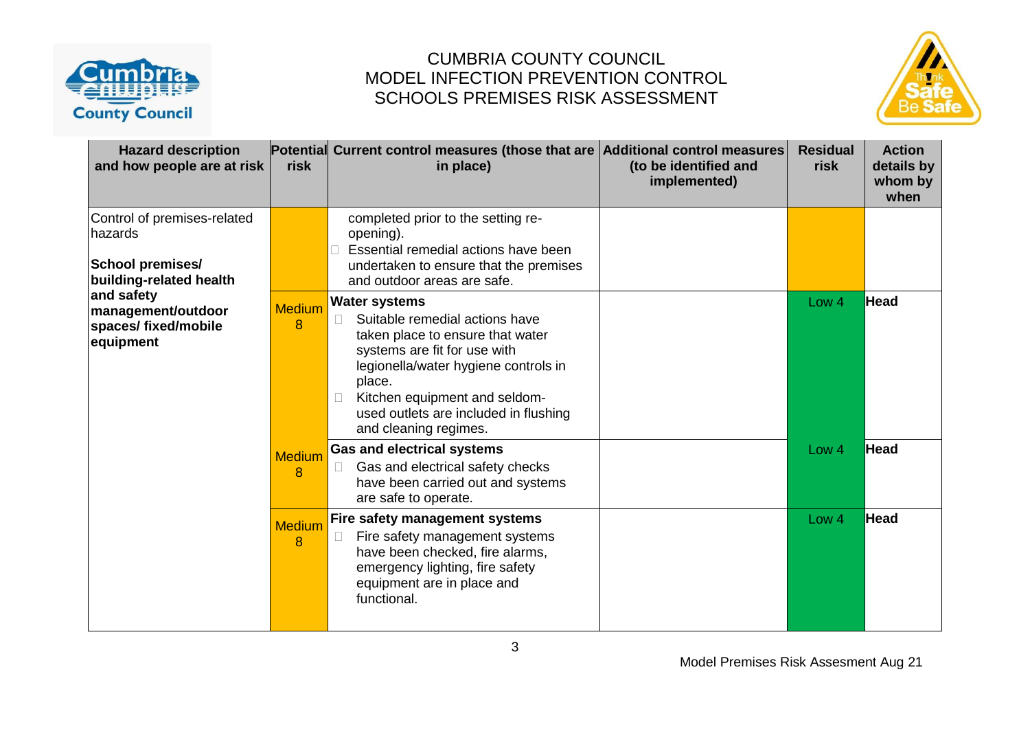



| <b>Hazard description</b><br>and how people are at risk                                      | risk                          | Potential Current control measures (those that are Additional control measures<br>in place)                                                                                                                                                                                                         | (to be identified and<br>implemented) | <b>Residual</b><br>risk | <b>Action</b><br>details by<br>whom by<br>when |
|----------------------------------------------------------------------------------------------|-------------------------------|-----------------------------------------------------------------------------------------------------------------------------------------------------------------------------------------------------------------------------------------------------------------------------------------------------|---------------------------------------|-------------------------|------------------------------------------------|
| Control of premises-related<br>hazards<br><b>School premises/</b><br>building-related health |                               | completed prior to the setting re-<br>opening).<br>Essential remedial actions have been<br>undertaken to ensure that the premises<br>and outdoor areas are safe.                                                                                                                                    |                                       |                         |                                                |
| and safety<br>management/outdoor<br>spaces/fixed/mobile<br>equipment                         | <b>Medium</b><br>8            | <b>Water systems</b><br>Suitable remedial actions have<br>$\Box$<br>taken place to ensure that water<br>systems are fit for use with<br>legionella/water hygiene controls in<br>place.<br>Kitchen equipment and seldom-<br>$\Box$<br>used outlets are included in flushing<br>and cleaning regimes. |                                       | Low 4                   | Head                                           |
|                                                                                              | <b>Medium</b><br>8            | <b>Gas and electrical systems</b><br>Gas and electrical safety checks<br>H.<br>have been carried out and systems<br>are safe to operate.                                                                                                                                                            |                                       | Low <sub>4</sub>        | <b>Head</b>                                    |
|                                                                                              | <b>Medium</b><br>$\mathbf{8}$ | Fire safety management systems<br>Fire safety management systems<br>$\Box$<br>have been checked, fire alarms,<br>emergency lighting, fire safety<br>equipment are in place and<br>functional.                                                                                                       |                                       | Low <sub>4</sub>        | <b>Head</b>                                    |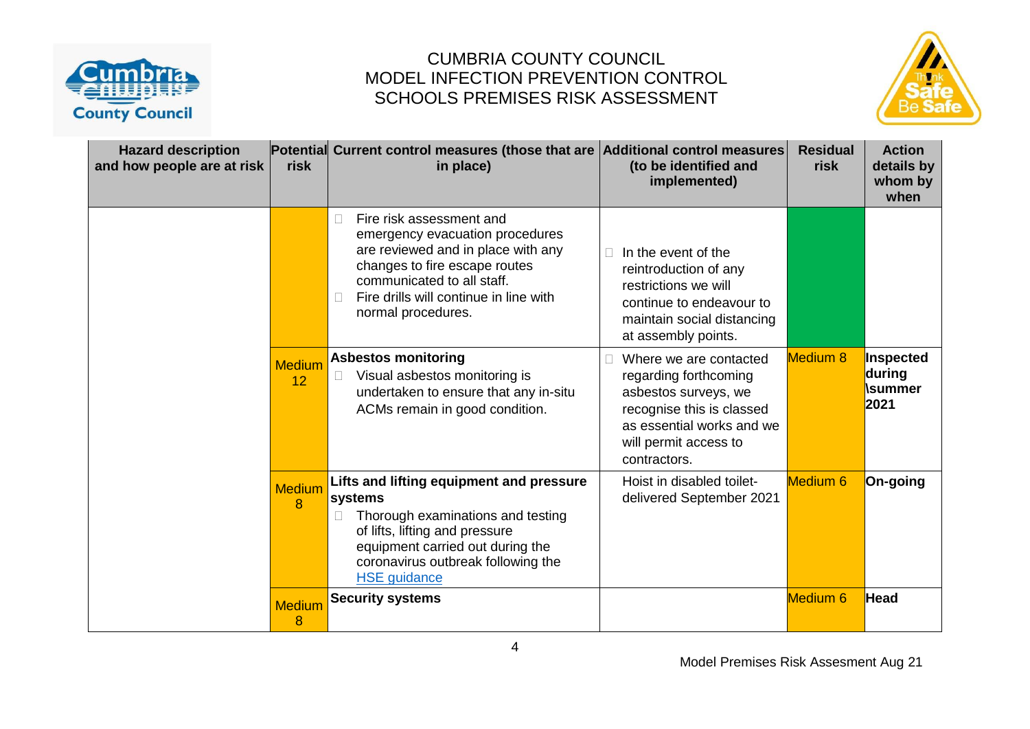



| <b>Hazard description</b><br>and how people are at risk | risk                | Potential Current control measures (those that are Additional control measures<br>in place)                                                                                                                                                | (to be identified and<br>implemented)                                                                                                                                      | <b>Residual</b><br>risk | <b>Action</b><br>details by<br>whom by<br>when |
|---------------------------------------------------------|---------------------|--------------------------------------------------------------------------------------------------------------------------------------------------------------------------------------------------------------------------------------------|----------------------------------------------------------------------------------------------------------------------------------------------------------------------------|-------------------------|------------------------------------------------|
|                                                         |                     | Fire risk assessment and<br>$\Box$<br>emergency evacuation procedures<br>are reviewed and in place with any<br>changes to fire escape routes<br>communicated to all staff.<br>Fire drills will continue in line with<br>normal procedures. | In the event of the<br>reintroduction of any<br>restrictions we will<br>continue to endeavour to<br>maintain social distancing<br>at assembly points.                      |                         |                                                |
|                                                         | <b>Medium</b><br>12 | <b>Asbestos monitoring</b><br>Visual asbestos monitoring is<br>$\mathbb{R}^n$<br>undertaken to ensure that any in-situ<br>ACMs remain in good condition.                                                                                   | Where we are contacted<br>regarding forthcoming<br>asbestos surveys, we<br>recognise this is classed<br>as essential works and we<br>will permit access to<br>contractors. | <b>Medium 8</b>         | Inspected<br>during<br><b>\summer</b><br>2021  |
|                                                         | <b>Medium</b><br>8  | Lifts and lifting equipment and pressure<br>systems<br>Thorough examinations and testing<br>of lifts, lifting and pressure<br>equipment carried out during the<br>coronavirus outbreak following the<br><b>HSE</b> guidance                | Hoist in disabled toilet-<br>delivered September 2021                                                                                                                      | Medium <sub>6</sub>     | On-going                                       |
|                                                         | <b>Medium</b><br>8  | <b>Security systems</b>                                                                                                                                                                                                                    |                                                                                                                                                                            | <b>Medium 6</b>         | Head                                           |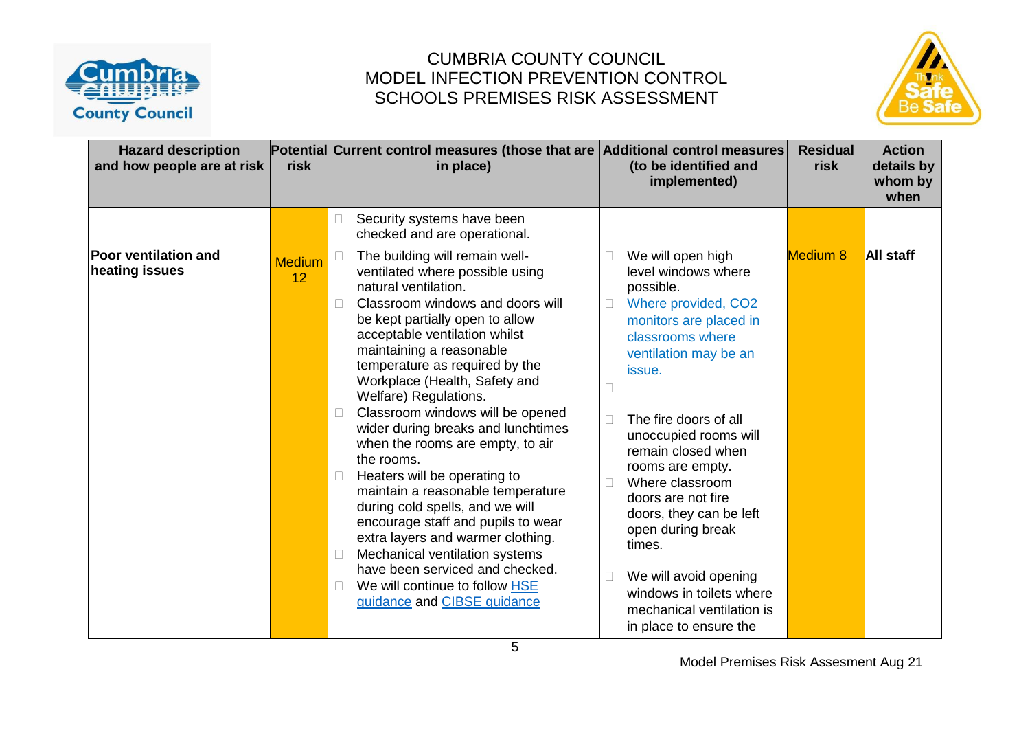



| <b>Hazard description</b><br>and how people are at risk | risk                | Potential Current control measures (those that are Additional control measures<br>in place)                                                                                                                                                                                                                                                                                                                                                                                                                                                                                                                                                                                                                                                                                                                            | (to be identified and<br>implemented)                                                                                                                                                                                                                                                                                                                                                                                                                                                                     | <b>Residual</b><br>risk | <b>Action</b><br>details by<br>whom by<br>when |
|---------------------------------------------------------|---------------------|------------------------------------------------------------------------------------------------------------------------------------------------------------------------------------------------------------------------------------------------------------------------------------------------------------------------------------------------------------------------------------------------------------------------------------------------------------------------------------------------------------------------------------------------------------------------------------------------------------------------------------------------------------------------------------------------------------------------------------------------------------------------------------------------------------------------|-----------------------------------------------------------------------------------------------------------------------------------------------------------------------------------------------------------------------------------------------------------------------------------------------------------------------------------------------------------------------------------------------------------------------------------------------------------------------------------------------------------|-------------------------|------------------------------------------------|
|                                                         |                     | Security systems have been<br>$\Box$<br>checked and are operational.                                                                                                                                                                                                                                                                                                                                                                                                                                                                                                                                                                                                                                                                                                                                                   |                                                                                                                                                                                                                                                                                                                                                                                                                                                                                                           |                         |                                                |
| <b>Poor ventilation and</b><br>heating issues           | <b>Medium</b><br>12 | The building will remain well-<br>ventilated where possible using<br>natural ventilation.<br>Classroom windows and doors will<br>$\Box$<br>be kept partially open to allow<br>acceptable ventilation whilst<br>maintaining a reasonable<br>temperature as required by the<br>Workplace (Health, Safety and<br>Welfare) Regulations.<br>Classroom windows will be opened<br>wider during breaks and lunchtimes<br>when the rooms are empty, to air<br>the rooms.<br>Heaters will be operating to<br>$\Box$<br>maintain a reasonable temperature<br>during cold spells, and we will<br>encourage staff and pupils to wear<br>extra layers and warmer clothing.<br>Mechanical ventilation systems<br>$\Box$<br>have been serviced and checked.<br>We will continue to follow HSE<br>$\Box$<br>guidance and CIBSE guidance | We will open high<br>level windows where<br>possible.<br>Where provided, CO2<br>monitors are placed in<br>classrooms where<br>ventilation may be an<br>issue.<br>The fire doors of all<br>П<br>unoccupied rooms will<br>remain closed when<br>rooms are empty.<br>Where classroom<br>doors are not fire<br>doors, they can be left<br>open during break<br>times.<br>We will avoid opening<br>$\overline{\phantom{a}}$<br>windows in toilets where<br>mechanical ventilation is<br>in place to ensure the | Medium 8                | <b>All staff</b>                               |

Model Premises Risk Assesment Aug 21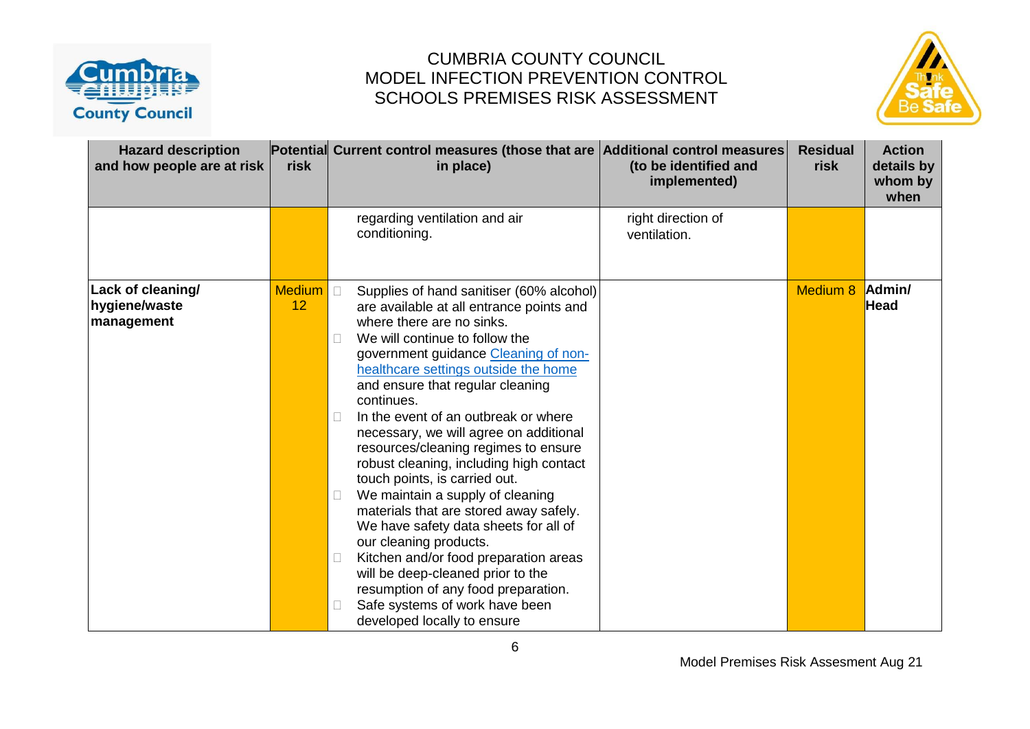



| <b>Hazard description</b><br>and how people are at risk | risk                | Potential Current control measures (those that are Additional control measures<br>in place)                                                                                                                                                                                                                                                                                                                                                                                                                                                                                                                                                                                                                                                                                                                                                                                                    | (to be identified and<br>implemented) | <b>Residual</b><br>risk | <b>Action</b><br>details by<br>whom by<br>when |
|---------------------------------------------------------|---------------------|------------------------------------------------------------------------------------------------------------------------------------------------------------------------------------------------------------------------------------------------------------------------------------------------------------------------------------------------------------------------------------------------------------------------------------------------------------------------------------------------------------------------------------------------------------------------------------------------------------------------------------------------------------------------------------------------------------------------------------------------------------------------------------------------------------------------------------------------------------------------------------------------|---------------------------------------|-------------------------|------------------------------------------------|
|                                                         |                     | regarding ventilation and air<br>conditioning.                                                                                                                                                                                                                                                                                                                                                                                                                                                                                                                                                                                                                                                                                                                                                                                                                                                 | right direction of<br>ventilation.    |                         |                                                |
| Lack of cleaning/<br>hygiene/waste<br>management        | <b>Medium</b><br>12 | $\Box$<br>Supplies of hand sanitiser (60% alcohol)<br>are available at all entrance points and<br>where there are no sinks.<br>We will continue to follow the<br>$\Box$<br>government guidance Cleaning of non-<br>healthcare settings outside the home<br>and ensure that regular cleaning<br>continues.<br>In the event of an outbreak or where<br>$\Box$<br>necessary, we will agree on additional<br>resources/cleaning regimes to ensure<br>robust cleaning, including high contact<br>touch points, is carried out.<br>We maintain a supply of cleaning<br>$\Box$<br>materials that are stored away safely.<br>We have safety data sheets for all of<br>our cleaning products.<br>Kitchen and/or food preparation areas<br>$\Box$<br>will be deep-cleaned prior to the<br>resumption of any food preparation.<br>Safe systems of work have been<br>$\Box$<br>developed locally to ensure |                                       | Medium 8                | Admin/<br><b>Head</b>                          |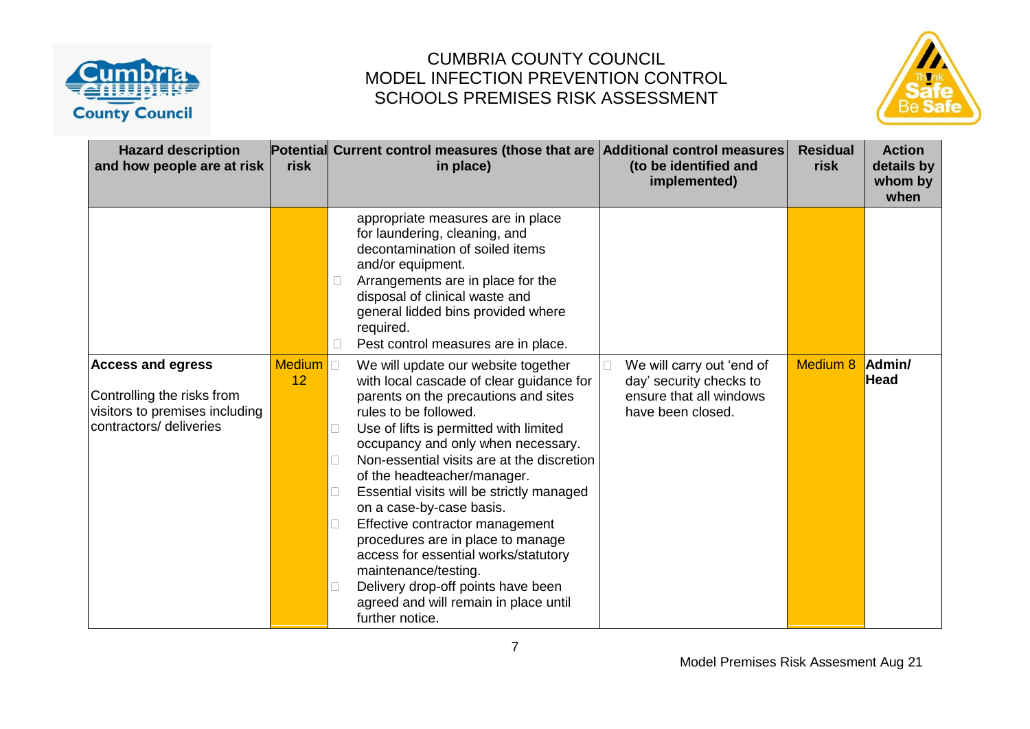



| <b>Hazard description</b><br>and how people are at risk                                                             | risk                  | Potential Current control measures (those that are Additional control measures<br>in place)                                                                                                                                                                                                                                                                                                                                                                                                                                                                                                                                      | (to be identified and<br>implemented)                                                                | <b>Residual</b><br>risk | <b>Action</b><br>details by<br>whom by<br>when |
|---------------------------------------------------------------------------------------------------------------------|-----------------------|----------------------------------------------------------------------------------------------------------------------------------------------------------------------------------------------------------------------------------------------------------------------------------------------------------------------------------------------------------------------------------------------------------------------------------------------------------------------------------------------------------------------------------------------------------------------------------------------------------------------------------|------------------------------------------------------------------------------------------------------|-------------------------|------------------------------------------------|
|                                                                                                                     |                       | appropriate measures are in place<br>for laundering, cleaning, and<br>decontamination of soiled items<br>and/or equipment.<br>Arrangements are in place for the<br>disposal of clinical waste and<br>general lidded bins provided where<br>required.<br>Pest control measures are in place.                                                                                                                                                                                                                                                                                                                                      |                                                                                                      |                         |                                                |
| <b>Access and egress</b><br>Controlling the risks from<br>visitors to premises including<br>contractors/ deliveries | Medium <b>D</b><br>12 | We will update our website together<br>with local cascade of clear guidance for<br>parents on the precautions and sites<br>rules to be followed.<br>Use of lifts is permitted with limited<br>occupancy and only when necessary.<br>Non-essential visits are at the discretion<br>of the headteacher/manager.<br>Essential visits will be strictly managed<br>on a case-by-case basis.<br>Effective contractor management<br>procedures are in place to manage<br>access for essential works/statutory<br>maintenance/testing.<br>Delivery drop-off points have been<br>agreed and will remain in place until<br>further notice. | We will carry out 'end of<br>day' security checks to<br>ensure that all windows<br>have been closed. | Medium 8                | Admin/<br><b>Head</b>                          |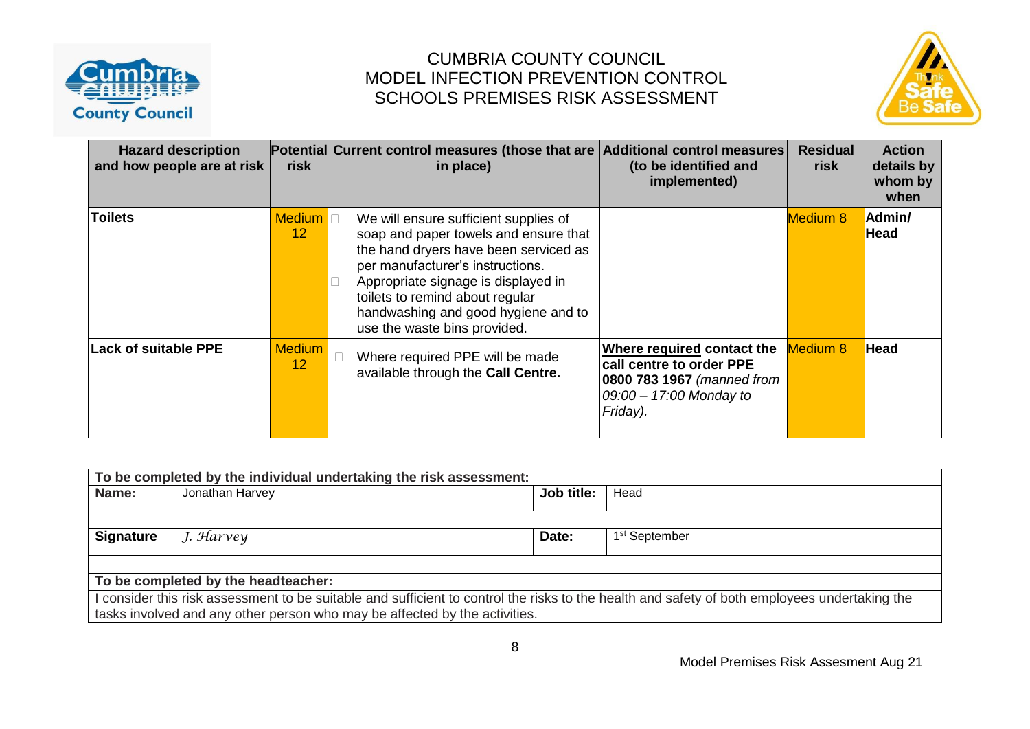



| <b>Hazard description</b><br>and how people are at risk | risk                             | Potential Current control measures (those that are Additional control measures<br>in place)                                                                                                                                                                                                                  | (to be identified and<br>implemented)                                                                                       | <b>Residual</b><br>risk | <b>Action</b><br>details by<br>whom by<br>when |
|---------------------------------------------------------|----------------------------------|--------------------------------------------------------------------------------------------------------------------------------------------------------------------------------------------------------------------------------------------------------------------------------------------------------------|-----------------------------------------------------------------------------------------------------------------------------|-------------------------|------------------------------------------------|
| <b>Toilets</b>                                          | <b>Medium</b><br>12 <sup>2</sup> | We will ensure sufficient supplies of<br>soap and paper towels and ensure that<br>the hand dryers have been serviced as<br>per manufacturer's instructions.<br>Appropriate signage is displayed in<br>toilets to remind about regular<br>handwashing and good hygiene and to<br>use the waste bins provided. |                                                                                                                             | <b>Medium 8</b>         | Admin/<br>Head                                 |
| <b>Lack of suitable PPE</b>                             | <b>Medium</b><br>12              | Where required PPE will be made<br>available through the Call Centre.                                                                                                                                                                                                                                        | Where required contact the<br>call centre to order PPE<br>0800 783 1967 (manned from<br>09:00 - 17:00 Monday to<br>Friday). | <b>Medium 8</b>         | <b>Head</b>                                    |

| To be completed by the individual undertaking the risk assessment:                                                                            |                                     |            |                           |  |  |  |
|-----------------------------------------------------------------------------------------------------------------------------------------------|-------------------------------------|------------|---------------------------|--|--|--|
| Name:                                                                                                                                         | Jonathan Harvey                     | Job title: | Head                      |  |  |  |
|                                                                                                                                               |                                     |            |                           |  |  |  |
| <b>Signature</b>                                                                                                                              | J. Harvey                           | Date:      | 1 <sup>st</sup> September |  |  |  |
|                                                                                                                                               |                                     |            |                           |  |  |  |
|                                                                                                                                               | To be completed by the headteacher: |            |                           |  |  |  |
| I consider this risk assessment to be suitable and sufficient to control the risks to the health and safety of both employees undertaking the |                                     |            |                           |  |  |  |
| tasks involved and any other person who may be affected by the activities.                                                                    |                                     |            |                           |  |  |  |